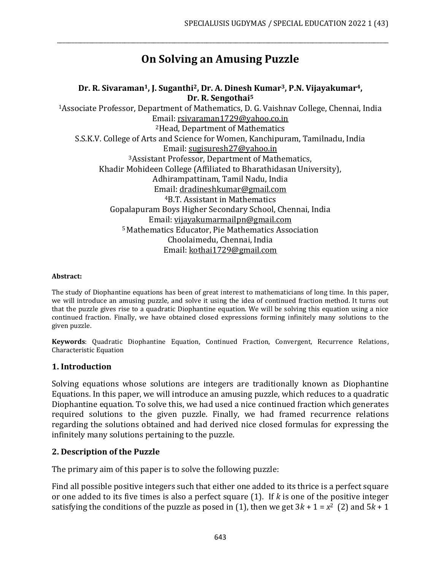# **On Solving an Amusing Puzzle**

\_\_\_\_\_\_\_\_\_\_\_\_\_\_\_\_\_\_\_\_\_\_\_\_\_\_\_\_\_\_\_\_\_\_\_\_\_\_\_\_\_\_\_\_\_\_\_\_\_\_\_\_\_\_\_\_\_\_\_\_\_\_\_\_\_\_\_\_\_\_\_\_\_\_\_\_\_\_\_\_\_\_\_\_\_\_\_\_\_\_\_\_\_\_\_\_\_\_\_\_\_\_\_\_\_\_\_\_\_\_\_\_\_

#### **Dr. R. Sivaraman1, J. Suganthi2, Dr. A. Dinesh Kumar3, P.N. Vijayakumar4, Dr. R. Sengothai<sup>5</sup>**

<sup>1</sup>Associate Professor, Department of Mathematics, D. G. Vaishnav College, Chennai, India Email[: rsivaraman1729@yahoo.co.in](mailto:rsivaraman1729@yahoo.co.in) <sup>2</sup>Head, Department of Mathematics S.S.K.V. College of Arts and Science for Women, Kanchipuram, Tamilnadu, India Email: [sugisuresh27@yahoo.in](mailto:sugisuresh27@yahoo.in) <sup>3</sup>Assistant Professor, Department of Mathematics, Khadir Mohideen College (Affiliated to Bharathidasan University), Adhirampattinam, Tamil Nadu, India Email: [dradineshkumar@gmail.com](mailto:dradineshkumar@gmail.com) <sup>4</sup>B.T. Assistant in Mathematics Gopalapuram Boys Higher Secondary School, Chennai, India Email: [vijayakumarmailpn@gmail.com](mailto:vijayakumarmailpn@gmail.com) <sup>5</sup> Mathematics Educator, Pie Mathematics Association Choolaimedu, Chennai, India Email: [kothai1729@gmail.com](mailto:kothai1729@gmail.com)

#### **Abstract:**

The study of Diophantine equations has been of great interest to mathematicians of long time. In this paper, we will introduce an amusing puzzle, and solve it using the idea of continued fraction method. It turns out that the puzzle gives rise to a quadratic Diophantine equation. We will be solving this equation using a nice continued fraction. Finally, we have obtained closed expressions forming infinitely many solutions to the given puzzle.

**Keywords**: Quadratic Diophantine Equation, Continued Fraction, Convergent, Recurrence Relations, Characteristic Equation

### **1. Introduction**

Solving equations whose solutions are integers are traditionally known as Diophantine Equations. In this paper, we will introduce an amusing puzzle, which reduces to a quadratic Diophantine equation. To solve this, we had used a nice continued fraction which generates required solutions to the given puzzle. Finally, we had framed recurrence relations regarding the solutions obtained and had derived nice closed formulas for expressing the infinitely many solutions pertaining to the puzzle.

# **2. Description of the Puzzle**

The primary aim of this paper is to solve the following puzzle:

Find all possible positive integers such that either one added to its thrice is a perfect square or one added to its five times is also a perfect square (1). If *k* is one of the positive integer satisfying the conditions of the puzzle as posed in (1), then we get  $3k + 1 = x^2$  (2) and  $5k + 1$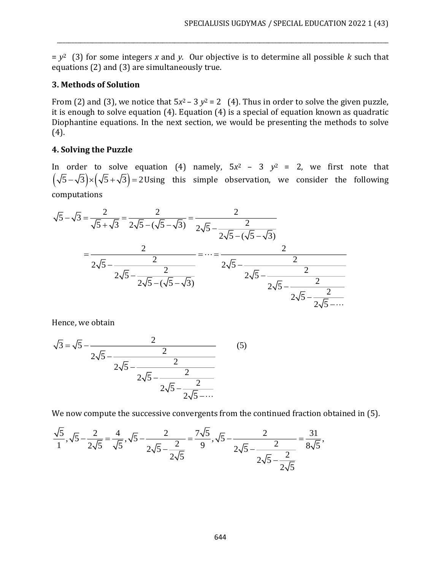= *y* <sup>2</sup> (3) for some integers *x* and *y*. Our objective is to determine all possible *k* such that equations (2) and (3) are simultaneously true.

\_\_\_\_\_\_\_\_\_\_\_\_\_\_\_\_\_\_\_\_\_\_\_\_\_\_\_\_\_\_\_\_\_\_\_\_\_\_\_\_\_\_\_\_\_\_\_\_\_\_\_\_\_\_\_\_\_\_\_\_\_\_\_\_\_\_\_\_\_\_\_\_\_\_\_\_\_\_\_\_\_\_\_\_\_\_\_\_\_\_\_\_\_\_\_\_\_\_\_\_\_\_\_\_\_\_\_\_\_\_\_\_\_

# **3. Methods of Solution**

From (2) and (3), we notice that  $5x^2 - 3y^2 = 2$  (4). Thus in order to solve the given puzzle, it is enough to solve equation (4). Equation (4) is a special of equation known as quadratic Diophantine equations. In the next section, we would be presenting the methods to solve (4).

# **4. Solving the Puzzle**

In order to solve equation (4) namely,  $5x^2 - 3$   $y^2 = 2$ , we first note that  $(\sqrt{5}-\sqrt{3})\times(\sqrt{5}+\sqrt{3})$ =2Using this simple observation, we consider the following computations

$$
\sqrt{5} - \sqrt{3} = \frac{2}{\sqrt{5} + \sqrt{3}} = \frac{2}{2\sqrt{5} - (\sqrt{5} - \sqrt{3})} = \frac{2}{2\sqrt{5} - \frac{2}{2\sqrt{5} - (\sqrt{5} - \sqrt{3})}} = \dots = \frac{2}{2\sqrt{5} - \frac{2}{2\sqrt{5} - \frac{2}{2\sqrt{5} - (\sqrt{5} - \sqrt{3})}}} = \dots = \frac{2}{2\sqrt{5} - \frac{2}{2\sqrt{5} - \frac{2}{2\sqrt{5} - \frac{2}{2\sqrt{5} - \frac{2}{2\sqrt{5} - \dots}}}}}
$$

Hence, we obtain

$$
\sqrt{3} = \sqrt{5} - \frac{2}{2\sqrt{5} - \frac{2}{2\sqrt{5} - \frac{2}{2\sqrt{5} - \frac{2}{2\sqrt{5} - \frac{2}{2\sqrt{5} - \dots}}}}}
$$
(5)

We now compute the successive convergents from the continued fraction obtained in (5).

$$
\frac{\sqrt{5}}{1}, \sqrt{5} - \frac{2}{2\sqrt{5}} = \frac{4}{\sqrt{5}}, \sqrt{5} - \frac{2}{2\sqrt{5} - \frac{2}{2\sqrt{5}}} = \frac{7\sqrt{5}}{9}, \sqrt{5} - \frac{2}{2\sqrt{5} - \frac{2}{2\sqrt{5}}} = \frac{31}{8\sqrt{5}},
$$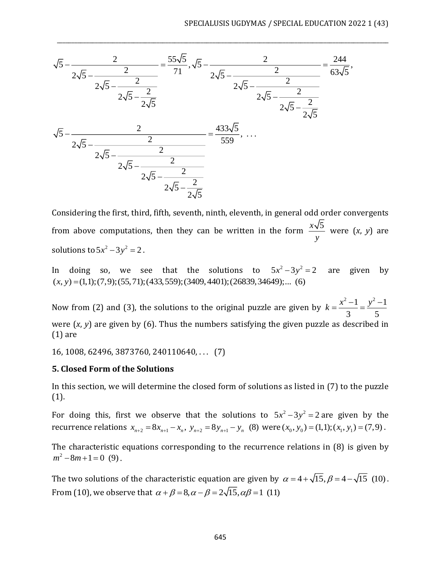

Considering the first, third, fifth, seventh, ninth, eleventh, in general odd order convergents from above computations, then they can be written in the form  $\frac{x\sqrt{5}}{2}$ *y* were (*x*, *y*) are solutions to  $5x^2 - 3y^2 = 2$ .

In doing so, we see that the solutions to  $5x^2 - 3y^2 = 2$  are given by  $(x, y) = (1,1); (7,9); (55,71); (433,559); (3409,4401); (26839,34649); \dots$  (6)

Now from (2) and (3), the solutions to the original puzzle are given by  $k = \frac{x^2 - 1}{2} = \frac{y^2 - 1}{2}$ 3 5  $k = \frac{x - 1}{x - 1} = \frac{y - 1}{x - 1}$ were (*x*, *y*) are given by (6). Thus the numbers satisfying the given puzzle as described in (1) are

16, 1008, 62496, 3873760, 240110640, . . . (7)

#### **5. Closed Form of the Solutions**

In this section, we will determine the closed form of solutions as listed in (7) to the puzzle (1).

For doing this, first we observe that the solutions to  $5x^2 - 3y^2 = 2$  are given by the recurrence relations  $x_{n+2} = 8x_{n+1} - x_n$ ,  $y_{n+2} = 8y_{n+1} - y_n$  (8) were  $(x_0, y_0) = (1,1); (x_1, y_1) = (7,9)$ .

The characteristic equations corresponding to the recurrence relations in (8) is given by  $m^2 - 8m + 1 = 0$  (9).

The two solutions of the characteristic equation are given by  $\alpha = 4 + \sqrt{15}$ ,  $\beta = 4 - \sqrt{15}$  (10). From (10), we observe that  $\alpha + \beta = 8, \alpha - \beta = 2\sqrt{15}, \alpha\beta = 1$  (11)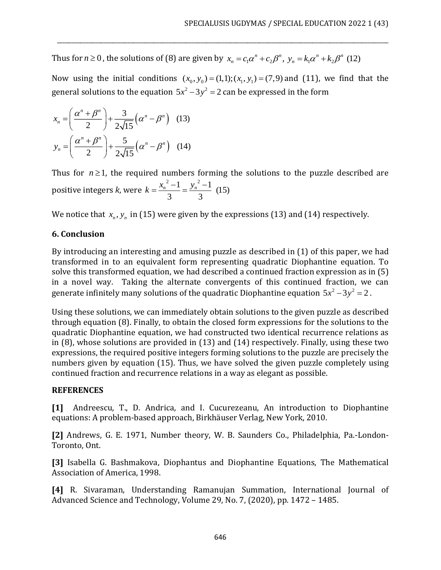Thus for  $n \ge 0$ , the solutions of (8) are given by  $x_n = c_1 \alpha^n + c_2 \beta^n$ ,  $y_n = k_1 \alpha^n + k_2 \beta^n$  (12)

Now using the initial conditions  $(x_0, y_0) = (1,1); (x_1, y_1) = (7,9)$  and (11), we find that the general solutions to the equation  $5x^2 - 3y^2 = 2$  can be expressed in the form

\_\_\_\_\_\_\_\_\_\_\_\_\_\_\_\_\_\_\_\_\_\_\_\_\_\_\_\_\_\_\_\_\_\_\_\_\_\_\_\_\_\_\_\_\_\_\_\_\_\_\_\_\_\_\_\_\_\_\_\_\_\_\_\_\_\_\_\_\_\_\_\_\_\_\_\_\_\_\_\_\_\_\_\_\_\_\_\_\_\_\_\_\_\_\_\_\_\_\_\_\_\_\_\_\_\_\_\_\_\_\_\_\_

$$
x_n = \left(\frac{\alpha^n + \beta^n}{2}\right) + \frac{3}{2\sqrt{15}}\left(\alpha^n - \beta^n\right) \quad (13)
$$

$$
y_n = \left(\frac{\alpha^n + \beta^n}{2}\right) + \frac{5}{2\sqrt{15}}\left(\alpha^n - \beta^n\right) \quad (14)
$$

Thus for  $n \geq 1$ , the required numbers forming the solutions to the puzzle described are positive integers *k*, were  $k = \frac{x_n^2 - 1}{3} = \frac{y_n^2 - 1}{3}$  (15)  $k = \frac{x_n^2 - 1}{n} = \frac{y_n^2 - 1}{n}$ 

We notice that  $x_n, y_n$  in (15) were given by the expressions (13) and (14) respectively.

# **6. Conclusion**

By introducing an interesting and amusing puzzle as described in (1) of this paper, we had transformed in to an equivalent form representing quadratic Diophantine equation. To solve this transformed equation, we had described a continued fraction expression as in (5) in a novel way. Taking the alternate convergents of this continued fraction, we can generate infinitely many solutions of the quadratic Diophantine equation  $5x^2 - 3y^2 = 2$  .

Using these solutions, we can immediately obtain solutions to the given puzzle as described through equation (8). Finally, to obtain the closed form expressions for the solutions to the quadratic Diophantine equation, we had constructed two identical recurrence relations as in (8), whose solutions are provided in (13) and (14) respectively. Finally, using these two expressions, the required positive integers forming solutions to the puzzle are precisely the numbers given by equation (15). Thus, we have solved the given puzzle completely using continued fraction and recurrence relations in a way as elegant as possible.

### **REFERENCES**

**[1]** Andreescu, T., D. Andrica, and I. Cucurezeanu, An introduction to Diophantine equations: A problem-based approach, Birkhäuser Verlag, New York, 2010.

**[2]** Andrews, G. E. 1971, Number theory, W. B. Saunders Co., Philadelphia, Pa.-London-Toronto, Ont.

**[3]** Isabella G. Bashmakova, Diophantus and Diophantine Equations, The Mathematical Association of America, 1998.

**[4]** R. Sivaraman, Understanding Ramanujan Summation, International Journal of Advanced Science and Technology, Volume 29, No. 7, (2020), pp. 1472 – 1485.